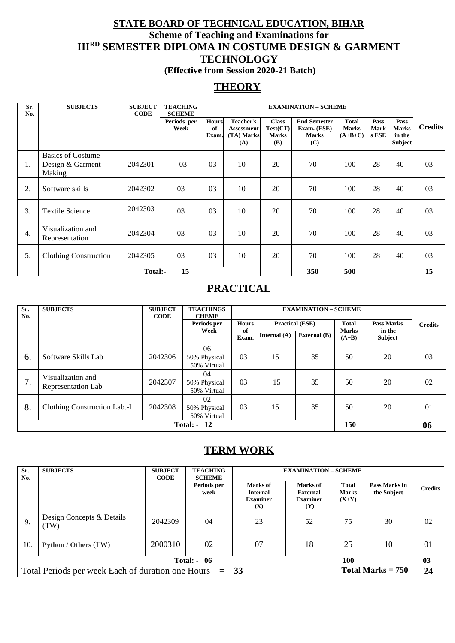### **STATE BOARD OF TECHNICAL EDUCATION, BIHAR Scheme of Teaching and Examinations for IIIRD SEMESTER DIPLOMA IN COSTUME DESIGN & GARMENT TECHNOLOGY (Effective from Session 2020-21 Batch)**

## **THEORY**

| Sr.<br>No.       | <b>SUBJECTS</b>                                        | <b>SUBJECT</b><br><b>CODE</b> | <b>TEACHING</b><br><b>SCHEME</b> |                             | <b>EXAMINATION - SCHEME</b>                                |                                                        |                                                           |                                           |                              |                                                  |                |
|------------------|--------------------------------------------------------|-------------------------------|----------------------------------|-----------------------------|------------------------------------------------------------|--------------------------------------------------------|-----------------------------------------------------------|-------------------------------------------|------------------------------|--------------------------------------------------|----------------|
|                  |                                                        |                               | Periods per<br>Week              | <b>Hours</b><br>of<br>Exam. | <b>Teacher's</b><br><b>Assessment</b><br>(TA) Marks<br>(A) | <b>Class</b><br>Test(CT)<br><b>Marks</b><br><b>(B)</b> | <b>End Semester</b><br>Exam. (ESE)<br><b>Marks</b><br>(C) | <b>Total</b><br><b>Marks</b><br>$(A+B+C)$ | Pass<br><b>Mark</b><br>s ESE | Pass<br><b>Marks</b><br>in the<br><b>Subject</b> | <b>Credits</b> |
| Ι.               | <b>Basics of Costume</b><br>Design & Garment<br>Making | 2042301                       | 03                               | 03                          | 10                                                         | 20                                                     | 70                                                        | 100                                       | 28                           | 40                                               | 03             |
| 2.               | Software skills                                        | 2042302                       | 03                               | 03                          | 10                                                         | 20                                                     | 70                                                        | 100                                       | 28                           | 40                                               | 03             |
| 3.               | <b>Textile Science</b>                                 | 2042303                       | 03                               | 03                          | 10                                                         | 20                                                     | 70                                                        | 100                                       | 28                           | 40                                               | 03             |
| $\overline{4}$ . | Visualization and<br>Representation                    | 2042304                       | 03                               | 03                          | 10                                                         | 20                                                     | 70                                                        | 100                                       | 28                           | 40                                               | 03             |
| 5.               | Clothing Construction                                  | 2042305                       | 03                               | 03                          | 10                                                         | 20                                                     | 70                                                        | 100                                       | 28                           | 40                                               | 03             |
|                  |                                                        | Total:-                       | 15                               |                             |                                                            |                                                        | 350                                                       | 500                                       |                              |                                                  | 15             |

### **PRACTICAL**

| Sr.<br>No. | <b>SUBJECTS</b>                         | <b>SUBJECT</b><br><b>CODE</b> | <b>TEACHINGS</b><br><b>CHEME</b>  |                                        | <b>EXAMINATION - SCHEME</b> |                     |                       |                   |                |
|------------|-----------------------------------------|-------------------------------|-----------------------------------|----------------------------------------|-----------------------------|---------------------|-----------------------|-------------------|----------------|
|            |                                         |                               | Periods per                       | <b>Hours</b><br><b>Practical (ESE)</b> |                             |                     | Total<br><b>Marks</b> | <b>Pass Marks</b> | <b>Credits</b> |
|            |                                         |                               | Week                              | of<br>Exam.                            | Internal $(A)$              | <b>External</b> (B) | $(A+B)$               | in the<br>Subject |                |
| 6.         | Software Skills Lab                     | 2042306                       | 06<br>50% Physical<br>50% Virtual | 03                                     | 15                          | 35                  | 50                    | 20                | 03             |
| 7.         | Visualization and<br>Representation Lab | 2042307                       | 04<br>50% Physical<br>50% Virtual | 03                                     | 15                          | 35                  | 50                    | 20                | 02             |
| 8.         | Clothing Construction Lab.-I            | 2042308                       | 02<br>50% Physical<br>50% Virtual | 03                                     | 15                          | 35                  | 50                    | 20                | 01             |
|            | 150<br><b>Total: - 12</b>               |                               |                                   |                                        |                             |                     |                       | 06                |                |

### **TERM WORK**

| Sr.<br>No. | <b>SUBJECTS</b>                                          | <b>SUBJECT</b><br><b>CODE</b> | <b>TEACHING</b><br><b>SCHEME</b> |                                                       | <b>EXAMINATION - SCHEME</b>                           |                                         |                              |                |  |
|------------|----------------------------------------------------------|-------------------------------|----------------------------------|-------------------------------------------------------|-------------------------------------------------------|-----------------------------------------|------------------------------|----------------|--|
|            |                                                          |                               | Periods per<br>week              | Marks of<br><b>Internal</b><br><b>Examiner</b><br>(X) | Marks of<br>External<br><b>Examiner</b><br><b>(Y)</b> | <b>Total</b><br><b>Marks</b><br>$(X+Y)$ | Pass Marks in<br>the Subject | <b>Credits</b> |  |
| 9.         | Design Concepts & Details<br>TW)                         | 2042309                       | 04                               | 23                                                    | 52                                                    | 75                                      | 30                           | 02             |  |
| 10.        | Python / Others (TW)                                     | 2000310                       | 02                               | 07                                                    | 18                                                    | 25                                      | 10                           | 01             |  |
|            | 100<br>Total: -<br>-06                                   |                               |                                  |                                                       |                                                       |                                         | 03                           |                |  |
|            | Total Periods per week Each of duration one Hours $= 33$ |                               |                                  |                                                       |                                                       | Total Marks $= 750$                     |                              | 24             |  |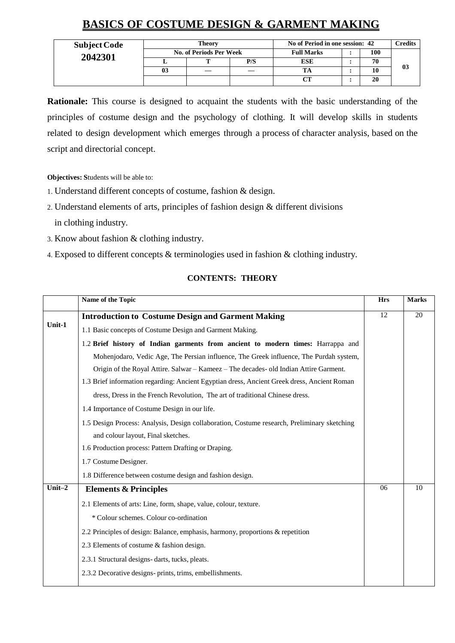## **BASICS OF COSTUME DESIGN & GARMENT MAKING**

| <b>Subject Code</b> |    | Theory                  |     | No of Period in one session: 42 | C <b>redits</b> |    |
|---------------------|----|-------------------------|-----|---------------------------------|-----------------|----|
| 2042301             |    | No. of Periods Per Week |     | <b>Full Marks</b>               | 100             |    |
|                     |    |                         | P/S | <b>ESE</b>                      | 70              |    |
|                     | 03 |                         |     |                                 | 10              | 03 |
|                     |    |                         |     | CТ                              | 20              |    |

**Rationale:** This course is designed to acquaint the students with the basic understanding of the principles of costume design and the psychology of clothing. It will develop skills in students related to design development which emerges through a process of character analysis, based on the script and directorial concept.

**Objectives: S**tudents will be able to:

- 1. Understand different concepts of costume, fashion & design.
- 2. Understand elements of arts, principles of fashion design & different divisions in clothing industry.
- 3. Know about fashion & clothing industry.
- 4. Exposed to different concepts & terminologies used in fashion & clothing industry.

#### **CONTENTS: THEORY**

|           | Name of the Topic                                                                           | <b>Hrs</b> | <b>Marks</b> |
|-----------|---------------------------------------------------------------------------------------------|------------|--------------|
|           | <b>Introduction to Costume Design and Garment Making</b>                                    | 12         | 20           |
| Unit-1    | 1.1 Basic concepts of Costume Design and Garment Making.                                    |            |              |
|           | 1.2 Brief history of Indian garments from ancient to modern times: Harrappa and             |            |              |
|           | Mohenjodaro, Vedic Age, The Persian influence, The Greek influence, The Purdah system,      |            |              |
|           | Origin of the Royal Attire. Salwar – Kameez – The decades- old Indian Attire Garment.       |            |              |
|           | 1.3 Brief information regarding: Ancient Egyptian dress, Ancient Greek dress, Ancient Roman |            |              |
|           | dress, Dress in the French Revolution, The art of traditional Chinese dress.                |            |              |
|           | 1.4 Importance of Costume Design in our life.                                               |            |              |
|           | 1.5 Design Process: Analysis, Design collaboration, Costume research, Preliminary sketching |            |              |
|           | and colour layout, Final sketches.                                                          |            |              |
|           | 1.6 Production process: Pattern Drafting or Draping.                                        |            |              |
|           | 1.7 Costume Designer.                                                                       |            |              |
|           | 1.8 Difference between costume design and fashion design.                                   |            |              |
| Unit $-2$ | <b>Elements &amp; Principles</b>                                                            | 06         | 10           |
|           | 2.1 Elements of arts: Line, form, shape, value, colour, texture.                            |            |              |
|           | * Colour schemes. Colour co-ordination                                                      |            |              |
|           | 2.2 Principles of design: Balance, emphasis, harmony, proportions & repetition              |            |              |
|           | 2.3 Elements of costume & fashion design.                                                   |            |              |
|           | 2.3.1 Structural designs- darts, tucks, pleats.                                             |            |              |
|           | 2.3.2 Decorative designs- prints, trims, embellishments.                                    |            |              |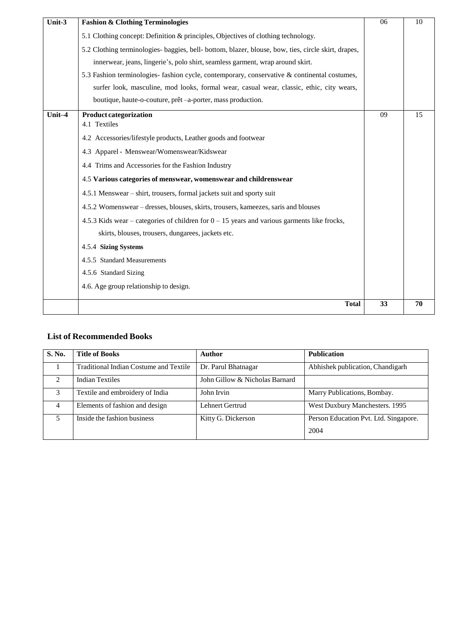| Unit-3 | <b>Fashion &amp; Clothing Terminologies</b>                                                         | 06 | 10 |
|--------|-----------------------------------------------------------------------------------------------------|----|----|
|        | 5.1 Clothing concept: Definition & principles, Objectives of clothing technology.                   |    |    |
|        | 5.2 Clothing terminologies- baggies, bell- bottom, blazer, blouse, bow, ties, circle skirt, drapes, |    |    |
|        | innerwear, jeans, lingerie's, polo shirt, seamless garment, wrap around skirt.                      |    |    |
|        | 5.3 Fashion terminologies- fashion cycle, contemporary, conservative & continental costumes,        |    |    |
|        | surfer look, masculine, mod looks, formal wear, casual wear, classic, ethic, city wears,            |    |    |
|        | boutique, haute-o-couture, prêt-a-porter, mass production.                                          |    |    |
| Unit-4 | <b>Product categorization</b>                                                                       | 09 | 15 |
|        | 4.1 Textiles                                                                                        |    |    |
|        | 4.2 Accessories/lifestyle products, Leather goods and footwear                                      |    |    |
|        | 4.3 Apparel - Menswear/Womenswear/Kidswear                                                          |    |    |
|        | 4.4 Trims and Accessories for the Fashion Industry                                                  |    |    |
|        | 4.5 Various categories of menswear, womenswear and childrenswear                                    |    |    |
|        | 4.5.1 Menswear – shirt, trousers, formal jackets suit and sporty suit                               |    |    |
|        | 4.5.2 Womenswear – dresses, blouses, skirts, trousers, kameezes, saris and blouses                  |    |    |
|        | 4.5.3 Kids wear – categories of children for $0 - 15$ years and various garments like frocks,       |    |    |
|        | skirts, blouses, trousers, dungarees, jackets etc.                                                  |    |    |
|        | 4.5.4 Sizing Systems                                                                                |    |    |
|        | 4.5.5 Standard Measurements                                                                         |    |    |
|        | 4.5.6 Standard Sizing                                                                               |    |    |
|        | 4.6. Age group relationship to design.                                                              |    |    |
|        | <b>Total</b>                                                                                        | 33 | 70 |

#### **List of Recommended Books**

| <b>S. No.</b>               | <b>Title of Books</b>                         | Author                         | <b>Publication</b>                    |
|-----------------------------|-----------------------------------------------|--------------------------------|---------------------------------------|
|                             | <b>Traditional Indian Costume and Textile</b> | Dr. Parul Bhatnagar            | Abhishek publication, Chandigarh      |
| $\mathcal{D}_{\mathcal{L}}$ | <b>Indian Textiles</b>                        | John Gillow & Nicholas Barnard |                                       |
| $\mathcal{F}$               | Textile and embroidery of India               | John Irvin                     | Marry Publications, Bombay.           |
| 4                           | Elements of fashion and design                | Lehnert Gertrud                | West Duxbury Manchesters. 1995        |
| 5                           | Inside the fashion business                   | Kitty G. Dickerson             | Person Education Pvt. Ltd. Singapore. |
|                             |                                               |                                | 2004                                  |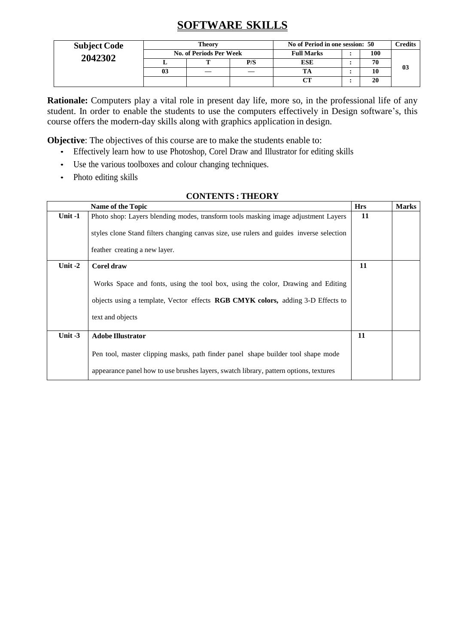## **SOFTWARE SKILLS**

| <b>Subject Code</b> |                                | Theory |     | No of Period in one session: 50 |  |     | C <b>redits</b> |
|---------------------|--------------------------------|--------|-----|---------------------------------|--|-----|-----------------|
| 2042302             | <b>No. of Periods Per Week</b> |        |     | <b>Full Marks</b>               |  | 100 |                 |
|                     |                                |        | P/S | <b>ESE</b>                      |  | 70  |                 |
|                     | 03                             |        |     |                                 |  | 10  | 03              |
|                     |                                |        |     | $\alpha$ tt                     |  | 20  |                 |

**Rationale:** Computers play a vital role in present day life, more so, in the professional life of any student. In order to enable the students to use the computers effectively in Design software's, this course offers the modern-day skills along with graphics application in design.

**Objective**: The objectives of this course are to make the students enable to:

- Effectively learn how to use Photoshop, Corel Draw and Illustrator for editing skills
- Use the various toolboxes and colour changing techniques.
- Photo editing skills

#### **CONTENTS : THEORY**

|           | <b>Name of the Topic</b>                                                                                                                                                                      | <b>Hrs</b> | <b>Marks</b> |
|-----------|-----------------------------------------------------------------------------------------------------------------------------------------------------------------------------------------------|------------|--------------|
| Unit -1   | Photo shop: Layers blending modes, transform tools masking image adjustment Layers                                                                                                            | 11         |              |
|           | styles clone Stand filters changing canvas size, use rulers and guides inverse selection                                                                                                      |            |              |
|           | feather creating a new layer.                                                                                                                                                                 |            |              |
| Unit $-2$ | <b>Corel draw</b>                                                                                                                                                                             | 11         |              |
|           | Works Space and fonts, using the tool box, using the color, Drawing and Editing<br>objects using a template, Vector effects <b>RGB CMYK colors,</b> adding 3-D Effects to<br>text and objects |            |              |
| Unit $-3$ | <b>Adobe Illustrator</b>                                                                                                                                                                      | 11         |              |
|           | Pen tool, master clipping masks, path finder panel shape builder tool shape mode<br>appearance panel how to use brushes layers, swatch library, pattern options, textures                     |            |              |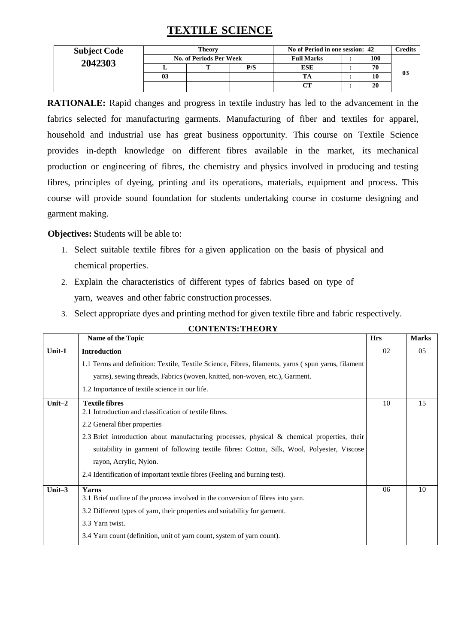### **TEXTILE SCIENCE**

| <b>Subject Code</b> | <b>Theory</b>  |                         |     | No of Period in one session: 42 |  |     | Credits |
|---------------------|----------------|-------------------------|-----|---------------------------------|--|-----|---------|
| 2042303             |                | No. of Periods Per Week |     | <b>Full Marks</b>               |  | 100 |         |
|                     |                |                         | P/S | ESE                             |  | 70  |         |
|                     | 0 <sup>3</sup> |                         |     |                                 |  | 10  | 03      |
|                     |                |                         |     | CТ                              |  | 20  |         |

**RATIONALE:** Rapid changes and progress in textile industry has led to the advancement in the fabrics selected for manufacturing garments. Manufacturing of fiber and textiles for apparel, household and industrial use has great business opportunity. This course on Textile Science provides in-depth knowledge on different fibres available in the market, its mechanical production or engineering of fibres, the chemistry and physics involved in producing and testing fibres, principles of dyeing, printing and its operations, materials, equipment and process. This course will provide sound foundation for students undertaking course in costume designing and garment making.

### **Objectives: S**tudents will be able to:

- 1. Select suitable textile fibres for a given application on the basis of physical and chemical properties.
- 2. Explain the characteristics of different types of fabrics based on type of yarn, weaves and other fabric construction processes.
- 3. Select appropriate dyes and printing method for given textile fibre and fabric respectively.

|           | Name of the Topic                                                                                  | <b>Hrs</b> | <b>Marks</b> |
|-----------|----------------------------------------------------------------------------------------------------|------------|--------------|
| Unit-1    | <b>Introduction</b>                                                                                | 02         | 05           |
|           | 1.1 Terms and definition: Textile, Textile Science, Fibres, filaments, yarns (spun yarns, filament |            |              |
|           | yarns), sewing threads, Fabrics (woven, knitted, non-woven, etc.), Garment.                        |            |              |
|           | 1.2 Importance of textile science in our life.                                                     |            |              |
| Unit $-2$ | <b>Textile fibres</b><br>2.1 Introduction and classification of textile fibres.                    | 10         | 15           |
|           | 2.2 General fiber properties                                                                       |            |              |
|           | 2.3 Brief introduction about manufacturing processes, physical $\&$ chemical properties, their     |            |              |
|           | suitability in garment of following textile fibres: Cotton, Silk, Wool, Polyester, Viscose         |            |              |
|           | rayon, Acrylic, Nylon.                                                                             |            |              |
|           | 2.4 Identification of important textile fibres (Feeling and burning test).                         |            |              |
| Unit $-3$ | Yarns<br>3.1 Brief outline of the process involved in the conversion of fibres into yarn.          | 06         | 10           |
|           | 3.2 Different types of yarn, their properties and suitability for garment.                         |            |              |
|           | 3.3 Yarn twist.                                                                                    |            |              |
|           | 3.4 Yarn count (definition, unit of yarn count, system of yarn count).                             |            |              |

#### **CONTENTS:THEORY**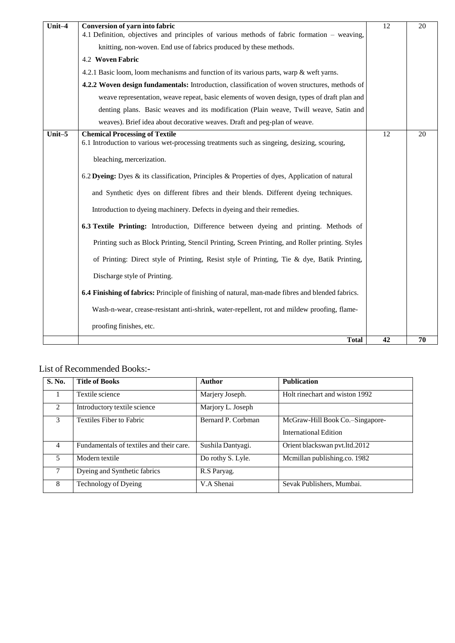| Unit-4    | Conversion of yarn into fabric<br>4.1 Definition, objectives and principles of various methods of fabric formation – weaving,        | 12 | 20 |
|-----------|--------------------------------------------------------------------------------------------------------------------------------------|----|----|
|           | knitting, non-woven. End use of fabrics produced by these methods.                                                                   |    |    |
|           | 4.2 Woven Fabric                                                                                                                     |    |    |
|           | 4.2.1 Basic loom, loom mechanisms and function of its various parts, warp $\&$ weft yarns.                                           |    |    |
|           | 4.2.2 Woven design fundamentals: Introduction, classification of woven structures, methods of                                        |    |    |
|           | weave representation, weave repeat, basic elements of woven design, types of draft plan and                                          |    |    |
|           | denting plans. Basic weaves and its modification (Plain weave, Twill weave, Satin and                                                |    |    |
|           | weaves). Brief idea about decorative weaves. Draft and peg-plan of weave.                                                            |    |    |
| Unit $-5$ | <b>Chemical Processing of Textile</b><br>6.1 Introduction to various wet-processing treatments such as singeing, desizing, scouring, | 12 | 20 |
|           | bleaching, mercerization.                                                                                                            |    |    |
|           | 6.2 Dyeing: Dyes & its classification, Principles & Properties of dyes, Application of natural                                       |    |    |
|           | and Synthetic dyes on different fibres and their blends. Different dyeing techniques.                                                |    |    |
|           | Introduction to dyeing machinery. Defects in dyeing and their remedies.                                                              |    |    |
|           | 6.3 Textile Printing: Introduction, Difference between dyeing and printing. Methods of                                               |    |    |
|           | Printing such as Block Printing, Stencil Printing, Screen Printing, and Roller printing. Styles                                      |    |    |
|           | of Printing: Direct style of Printing, Resist style of Printing, Tie & dye, Batik Printing,                                          |    |    |
|           | Discharge style of Printing.                                                                                                         |    |    |
|           | 6.4 Finishing of fabrics: Principle of finishing of natural, man-made fibres and blended fabrics.                                    |    |    |
|           | Wash-n-wear, crease-resistant anti-shrink, water-repellent, rot and mildew proofing, flame-                                          |    |    |
|           | proofing finishes, etc.                                                                                                              |    |    |
|           | <b>Total</b>                                                                                                                         | 42 | 70 |

### List of Recommended Books:-

| <b>S. No.</b> | <b>Title of Books</b>                    | Author             | <b>Publication</b>              |
|---------------|------------------------------------------|--------------------|---------------------------------|
| 1             | Textile science                          | Marjery Joseph.    | Holt rinechart and wiston 1992  |
| 2             | Introductory textile science             | Marjory L. Joseph  |                                 |
| 3             | Textiles Fiber to Fabric                 | Bernard P. Corbman | McGraw-Hill Book Co.–Singapore- |
|               |                                          |                    | <b>International Edition</b>    |
| 4             | Fundamentals of textiles and their care. | Sushila Dantyagi.  | Orient blackswan pvt. ltd. 2012 |
| 5             | Modern textile                           | Do rothy S. Lyle.  | Mcmillan publishing.co. 1982    |
| 7             | Dyeing and Synthetic fabrics             | R.S Paryag.        |                                 |
| 8             | Technology of Dyeing                     | V.A Shenai         | Sevak Publishers, Mumbai.       |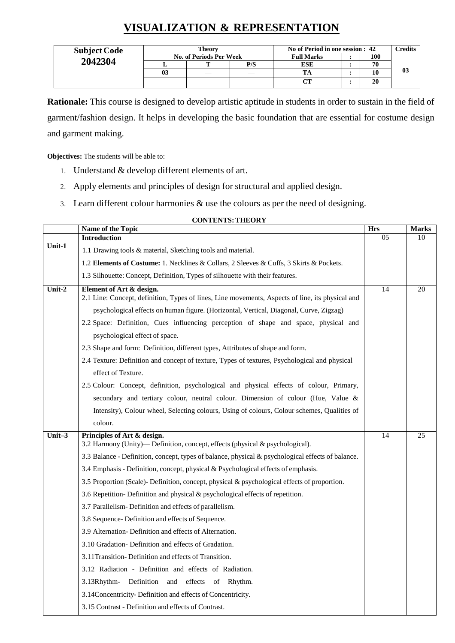## **VISUALIZATION & REPRESENTATION**

| <b>Subject Code</b> | Theory                  |  |     | No of Period in one session : 42 |  |     | <b>Tredits</b> |
|---------------------|-------------------------|--|-----|----------------------------------|--|-----|----------------|
| 2042304             | No. of Periods Per Week |  |     | <b>Full Marks</b>                |  | 100 |                |
|                     |                         |  | P/S | ESE                              |  | 70  |                |
|                     | 0 <sup>3</sup>          |  |     |                                  |  | 10  | 03             |
|                     |                         |  |     | $\alpha$                         |  | 20  |                |

**Rationale:** This course is designed to develop artistic aptitude in students in order to sustain in the field of garment/fashion design. It helps in developing the basic foundation that are essential for costume design and garment making.

**Objectives:** The students will be able to:

- 1. Understand & develop different elements of art.
- 2. Apply elements and principles of design for structural and applied design.
- 3. Learn different colour harmonies & use the colours as per the need of designing.

#### **CONTENTS:THEORY**

|        | Name of the Topic                                                                                                                                                                                     | <b>Hrs</b>      | <b>Marks</b> |  |  |  |
|--------|-------------------------------------------------------------------------------------------------------------------------------------------------------------------------------------------------------|-----------------|--------------|--|--|--|
|        | <b>Introduction</b>                                                                                                                                                                                   | 05              | 10           |  |  |  |
| Unit-1 | 1.1 Drawing tools & material, Sketching tools and material.                                                                                                                                           |                 |              |  |  |  |
|        | 1.2 Elements of Costume: 1. Necklines & Collars, 2 Sleeves & Cuffs, 3 Skirts & Pockets.                                                                                                               |                 |              |  |  |  |
|        | 1.3 Silhouette: Concept, Definition, Types of silhouette with their features.                                                                                                                         |                 |              |  |  |  |
| Unit-2 | Element of Art & design.<br>2.1 Line: Concept, definition, Types of lines, Line movements, Aspects of line, its physical and                                                                          | $\overline{14}$ | 20           |  |  |  |
|        | psychological effects on human figure. (Horizontal, Vertical, Diagonal, Curve, Zigzag)                                                                                                                |                 |              |  |  |  |
|        | 2.2 Space: Definition, Cues influencing perception of shape and space, physical and                                                                                                                   |                 |              |  |  |  |
|        | psychological effect of space.                                                                                                                                                                        |                 |              |  |  |  |
|        | 2.3 Shape and form: Definition, different types, Attributes of shape and form.<br>2.4 Texture: Definition and concept of texture, Types of textures, Psychological and physical<br>effect of Texture. |                 |              |  |  |  |
|        |                                                                                                                                                                                                       |                 |              |  |  |  |
|        |                                                                                                                                                                                                       |                 |              |  |  |  |
|        | 2.5 Colour: Concept, definition, psychological and physical effects of colour, Primary,                                                                                                               |                 |              |  |  |  |
|        | secondary and tertiary colour, neutral colour. Dimension of colour (Hue, Value &                                                                                                                      |                 |              |  |  |  |
|        | Intensity), Colour wheel, Selecting colours, Using of colours, Colour schemes, Qualities of                                                                                                           |                 |              |  |  |  |
|        | colour.                                                                                                                                                                                               |                 |              |  |  |  |
| Unit-3 | Principles of Art & design.<br>3.2 Harmony (Unity)—Definition, concept, effects (physical & psychological).                                                                                           | 14              | 25           |  |  |  |
|        | 3.3 Balance - Definition, concept, types of balance, physical & psychological effects of balance.                                                                                                     |                 |              |  |  |  |
|        | 3.4 Emphasis - Definition, concept, physical & Psychological effects of emphasis.                                                                                                                     |                 |              |  |  |  |
|        | 3.5 Proportion (Scale)- Definition, concept, physical & psychological effects of proportion.                                                                                                          |                 |              |  |  |  |
|        | 3.6 Repetition-Definition and physical & psychological effects of repetition.                                                                                                                         |                 |              |  |  |  |
|        | 3.7 Parallelism-Definition and effects of parallelism.                                                                                                                                                |                 |              |  |  |  |
|        | 3.8 Sequence- Definition and effects of Sequence.                                                                                                                                                     |                 |              |  |  |  |
|        | 3.9 Alternation-Definition and effects of Alternation.                                                                                                                                                |                 |              |  |  |  |
|        | 3.10 Gradation- Definition and effects of Gradation.                                                                                                                                                  |                 |              |  |  |  |
|        | 3.11 Transition-Definition and effects of Transition.                                                                                                                                                 |                 |              |  |  |  |
|        | 3.12 Radiation - Definition and effects of Radiation.                                                                                                                                                 |                 |              |  |  |  |
|        | Definition and effects of Rhythm.<br>3.13Rhythm-                                                                                                                                                      |                 |              |  |  |  |
|        | 3.14Concentricity-Definition and effects of Concentricity.                                                                                                                                            |                 |              |  |  |  |
|        | 3.15 Contrast - Definition and effects of Contrast.                                                                                                                                                   |                 |              |  |  |  |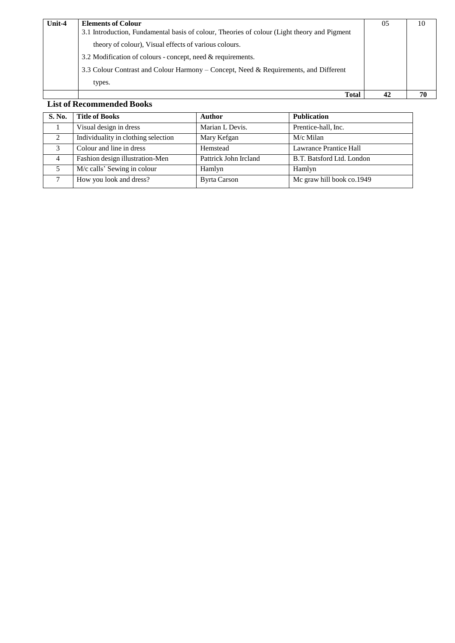| Unit-4 | <b>Elements of Colour</b>                                                                   | 05 | 10 |
|--------|---------------------------------------------------------------------------------------------|----|----|
|        | 3.1 Introduction, Fundamental basis of colour, Theories of colour (Light theory and Pigment |    |    |
|        | theory of colour), Visual effects of various colours.                                       |    |    |
|        | 3.2 Modification of colours - concept, need & requirements.                                 |    |    |
|        | 3.3 Colour Contrast and Colour Harmony – Concept, Need & Requirements, and Different        |    |    |
|        | types.                                                                                      |    |    |
|        | <b>Total</b>                                                                                | 42 | 70 |

### **List of Recommended Books**

| <b>S. No.</b>  | <b>Title of Books</b>               | <b>Author</b>         | <b>Publication</b>            |
|----------------|-------------------------------------|-----------------------|-------------------------------|
|                | Visual design in dress              | Marian L Devis.       | Prentice-hall, Inc.           |
| 2              | Individuality in clothing selection | Mary Kefgan           | M/c Milan                     |
| 3              | Colour and line in dress            | Hemstead              | <b>Lawrance Prantice Hall</b> |
| $\overline{4}$ | Fashion design illustration-Men     | Pattrick John Ircland | B.T. Batsford Ltd. London     |
| 5              | M/c calls' Sewing in colour         | Hamlyn                | Hamlyn                        |
| ⇁              | How you look and dress?             | <b>Byrta Carson</b>   | Mc graw hill book co.1949     |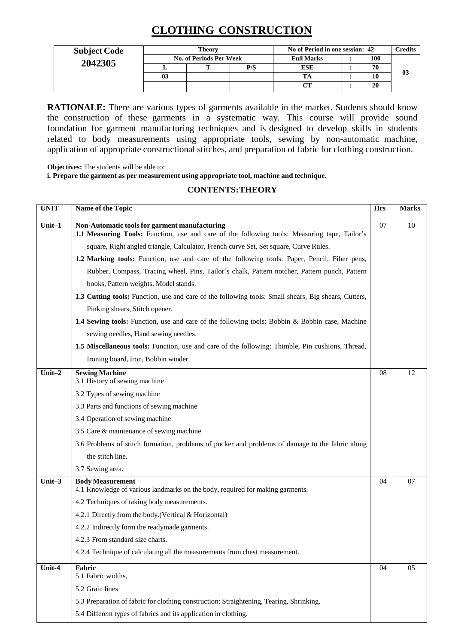## **CLOTHING CONSTRUCTION**

| <b>Subject Code</b> |    | Theory                         | No of Period in one session: 42 |                   |  | Credits |    |
|---------------------|----|--------------------------------|---------------------------------|-------------------|--|---------|----|
| 2042305             |    | <b>No. of Periods Per Week</b> |                                 | <b>Full Marks</b> |  | 100     |    |
|                     |    |                                | P/S                             | <b>ESE</b>        |  | 70      |    |
|                     | 03 |                                |                                 |                   |  | 10      | 03 |
|                     |    |                                |                                 | CТ                |  | 20      |    |

**RATIONALE:** There are various types of garments available in the market. Students should know the construction of these garments in a systematic way. This course will provide sound foundation for garment manufacturing techniques and is designed to develop skills in students related to body measurements using appropriate tools, sewing by non-automatic machine, application of appropriate constructional stitches, and preparation of fabric for clothing construction.

**Objectives:** The students will be able to:

**i. Prepare the garment as per measurement using appropriate tool, machine and technique.**

#### **CONTENTS:THEORY**

| <b>UNIT</b> | Name of the Topic                                                                                                                             | <b>Hrs</b> | <b>Marks</b> |
|-------------|-----------------------------------------------------------------------------------------------------------------------------------------------|------------|--------------|
| $Unit-1$    | Non-Automatic tools for garment manufacturing<br>1.1 Measuring Tools: Function, use and care of the following tools: Measuring tape, Tailor's | 07         | 10           |
|             | square, Right angled triangle, Calculator, French curve Set, Set square, Curve Rules.                                                         |            |              |
|             | 1.2 Marking tools: Function, use and care of the following tools: Paper, Pencil, Fiber pens,                                                  |            |              |
|             | Rubber, Compass, Tracing wheel, Pins, Tailor's chalk, Pattern notcher, Pattern punch, Pattern                                                 |            |              |
|             | books, Pattern weights, Model stands.                                                                                                         |            |              |
|             | 1.3 Cutting tools: Function, use and care of the following tools: Small shears, Big shears, Cutters,<br>Pinking shears, Stitch opener.        |            |              |
|             | <b>1.4 Sewing tools:</b> Function, use and care of the following tools: Bobbin & Bobbin case, Machine                                         |            |              |
|             | sewing needles, Hand sewing needles.                                                                                                          |            |              |
|             | 1.5 Miscellaneous tools: Function, use and care of the following: Thimble, Pin cushions, Thread,                                              |            |              |
|             | Ironing board, Iron, Bobbin winder.                                                                                                           |            |              |
| Unit $-2$   | <b>Sewing Machine</b><br>3.1 History of sewing machine                                                                                        | 08         | 12           |
|             | 3.2 Types of sewing machine                                                                                                                   |            |              |
|             | 3.3 Parts and functions of sewing machine                                                                                                     |            |              |
|             | 3.4 Operation of sewing machine                                                                                                               |            |              |
|             | 3.5 Care & maintenance of sewing machine                                                                                                      |            |              |
|             | 3.6 Problems of stitch formation, problems of pucker and problems of damage to the fabric along                                               |            |              |
|             | the stitch line.                                                                                                                              |            |              |
|             | 3.7 Sewing area.                                                                                                                              |            |              |
| Unit-3      | <b>Body Measurement</b><br>4.1 Knowledge of various landmarks on the body, required for making garments.                                      | 04         | 07           |
|             | 4.2 Techniques of taking body measurements.                                                                                                   |            |              |
|             | 4.2.1 Directly from the body. (Vertical & Horizontal)                                                                                         |            |              |
|             | 4.2.2 Indirectly form the readymade garments.                                                                                                 |            |              |
|             | 4.2.3 From standard size charts.                                                                                                              |            |              |
|             | 4.2.4 Technique of calculating all the measurements from chest measurement.                                                                   |            |              |
| Unit-4      | Fabric<br>5.1 Fabric widths,                                                                                                                  | 04         | 05           |
|             | 5.2 Grain lines                                                                                                                               |            |              |
|             | 5.3 Preparation of fabric for clothing construction: Straightening, Tearing, Shrinking.                                                       |            |              |
|             | 5.4 Different types of fabrics and its application in clothing.                                                                               |            |              |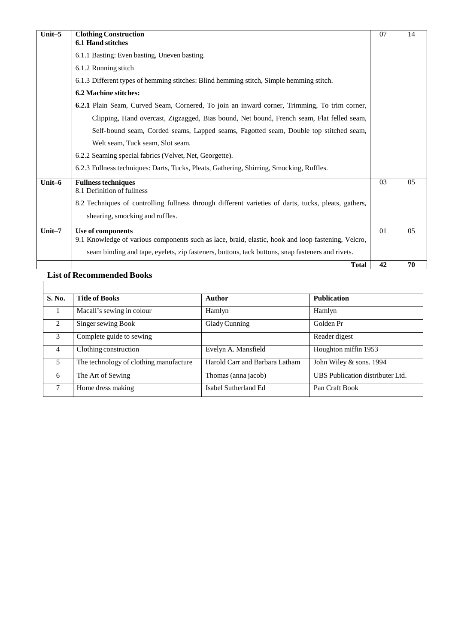| Unit-5 | <b>Clothing Construction</b><br><b>6.1 Hand stitches</b>                                                                                                         | 07 | 14 |
|--------|------------------------------------------------------------------------------------------------------------------------------------------------------------------|----|----|
|        | 6.1.1 Basting: Even basting, Uneven basting.                                                                                                                     |    |    |
|        | 6.1.2 Running stitch                                                                                                                                             |    |    |
|        | 6.1.3 Different types of hemming stitches: Blind hemming stitch, Simple hemming stitch.                                                                          |    |    |
|        | <b>6.2 Machine stitches:</b>                                                                                                                                     |    |    |
|        | 6.2.1 Plain Seam, Curved Seam, Cornered, To join an inward corner, Trimming, To trim corner,                                                                     |    |    |
|        | Clipping, Hand overcast, Zigzagged, Bias bound, Net bound, French seam, Flat felled seam,                                                                        |    |    |
|        | Self-bound seam, Corded seams, Lapped seams, Fagotted seam, Double top stitched seam,                                                                            |    |    |
|        | Welt seam, Tuck seam, Slot seam.                                                                                                                                 |    |    |
|        | 6.2.2 Seaming special fabrics (Velvet, Net, Georgette).                                                                                                          |    |    |
|        | 6.2.3 Fullness techniques: Darts, Tucks, Pleats, Gathering, Shirring, Smocking, Ruffles.                                                                         |    |    |
| Unit-6 | <b>Fullness techniques</b><br>8.1 Definition of fullness<br>8.2 Techniques of controlling fullness through different varieties of darts, tucks, pleats, gathers, | 03 | 05 |
|        | shearing, smocking and ruffles.                                                                                                                                  |    |    |
| Unit-7 | Use of components                                                                                                                                                | 01 | 05 |
|        | 9.1 Knowledge of various components such as lace, braid, elastic, hook and loop fastening, Velcro,                                                               |    |    |
|        | seam binding and tape, eyelets, zip fasteners, buttons, tack buttons, snap fasteners and rivets.                                                                 |    |    |
|        | <b>Total</b>                                                                                                                                                     | 42 | 70 |

### **List of Recommended Books**

 $\mathbb{R}^n$ 

| S. No.         | <b>Title of Books</b>                  | <b>Author</b>                  | <b>Publication</b>               |
|----------------|----------------------------------------|--------------------------------|----------------------------------|
|                | Macall's sewing in colour              | Hamlyn                         | Hamlyn                           |
| $\mathfrak{D}$ | Singer sewing Book                     | Glady Cunning                  | Golden Pr                        |
| 3              | Complete guide to sewing               |                                | Reader digest                    |
| 4              | Clothing construction                  | Evelyn A. Mansfield            | Houghton miffin 1953             |
| 5              | The technology of clothing manufacture | Harold Carr and Barbara Latham | John Wiley $&$ sons. 1994        |
| 6              | The Art of Sewing                      | Thomas (anna jacob)            | UBS Publication distributer Ltd. |
| 7              | Home dress making                      | Isabel Sutherland Ed           | Pan Craft Book                   |

ヿ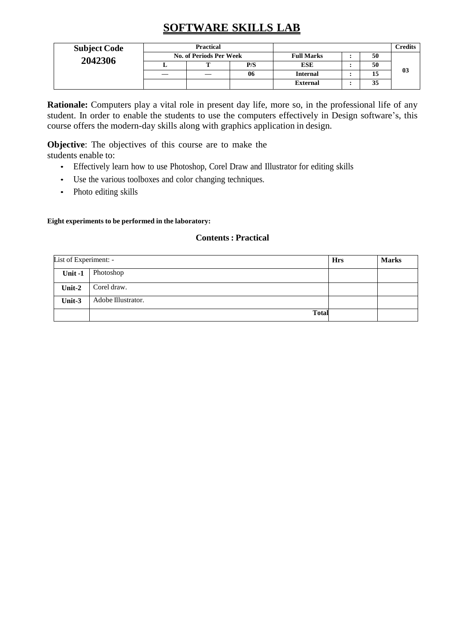## **SOFTWARE SKILLS LAB**

| <b>Subject Code</b> |                                | <b>Practical</b> |  |                   |                 |    | <b>Credits</b> |    |
|---------------------|--------------------------------|------------------|--|-------------------|-----------------|----|----------------|----|
| 2042306             | <b>No. of Periods Per Week</b> |                  |  | <b>Full Marks</b> |                 | 50 |                |    |
|                     |                                |                  |  | P/S               | <b>ESE</b>      |    | 50             |    |
|                     |                                |                  |  | 06                | <b>Internal</b> |    | 15             | 03 |
|                     |                                |                  |  |                   | <b>External</b> |    | 35             |    |

**Rationale:** Computers play a vital role in present day life, more so, in the professional life of any student. In order to enable the students to use the computers effectively in Design software's, this course offers the modern-day skills along with graphics application in design.

**Objective**: The objectives of this course are to make the students enable to:

- Effectively learn how to use Photoshop, Corel Draw and Illustrator for editing skills
- Use the various toolboxes and color changing techniques.
- Photo editing skills

#### **Eight experiments to be performed in the laboratory:**

#### **Contents : Practical**

| List of Experiment: - |                    | <b>Hrs</b> | <b>Marks</b> |
|-----------------------|--------------------|------------|--------------|
| Unit-1                | Photoshop          |            |              |
| Unit-2                | Corel draw.        |            |              |
| Unit-3                | Adobe Illustrator. |            |              |
|                       | <b>Total</b>       |            |              |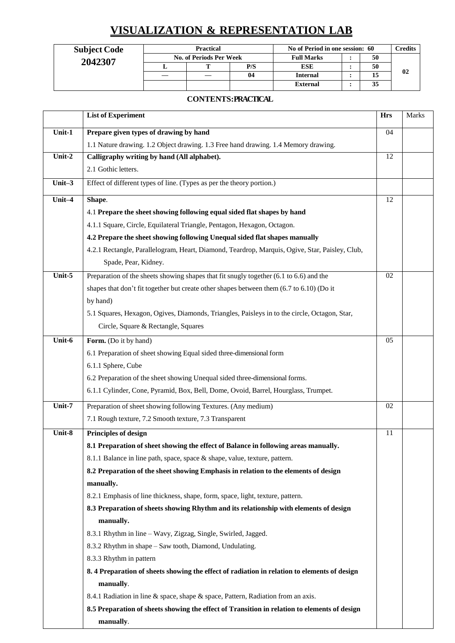## **VISUALIZATION & REPRESENTATION LAB**

| <b>Subject Code</b> | Practical<br>No. of Periods Per Week |  |     | No of Period in one session: 60 |  |    | Credits |
|---------------------|--------------------------------------|--|-----|---------------------------------|--|----|---------|
| 2042307             |                                      |  |     | <b>Full Marks</b>               |  | 50 |         |
|                     |                                      |  | P/S | ESE                             |  | 50 |         |
|                     |                                      |  | 04  | <b>Internal</b>                 |  |    | 02      |
|                     |                                      |  |     | <b>External</b>                 |  | 35 |         |

### **CONTENTS: PRACTICAL**

|           | <b>List of Experiment</b>                                                                         | <b>Hrs</b> | Marks |
|-----------|---------------------------------------------------------------------------------------------------|------------|-------|
| Unit-1    | Prepare given types of drawing by hand                                                            | 04         |       |
|           | 1.1 Nature drawing. 1.2 Object drawing. 1.3 Free hand drawing. 1.4 Memory drawing.                |            |       |
| Unit-2    | Calligraphy writing by hand (All alphabet).                                                       | 12         |       |
|           | 2.1 Gothic letters.                                                                               |            |       |
| Unit- $3$ | Effect of different types of line. (Types as per the theory portion.)                             |            |       |
| Unit-4    | Shape.                                                                                            | 12         |       |
|           | 4.1 Prepare the sheet showing following equal sided flat shapes by hand                           |            |       |
|           | 4.1.1 Square, Circle, Equilateral Triangle, Pentagon, Hexagon, Octagon.                           |            |       |
|           | 4.2 Prepare the sheet showing following Unequal sided flat shapes manually                        |            |       |
|           | 4.2.1 Rectangle, Parallelogram, Heart, Diamond, Teardrop, Marquis, Ogive, Star, Paisley, Club,    |            |       |
|           | Spade, Pear, Kidney.                                                                              |            |       |
| Unit-5    | Preparation of the sheets showing shapes that fit snugly together $(6.1 \text{ to } 6.6)$ and the | 02         |       |
|           | shapes that don't fit together but create other shapes between them (6.7 to 6.10) (Do it          |            |       |
|           | by hand)                                                                                          |            |       |
|           | 5.1 Squares, Hexagon, Ogives, Diamonds, Triangles, Paisleys in to the circle, Octagon, Star,      |            |       |
|           | Circle, Square & Rectangle, Squares                                                               |            |       |
| Unit-6    | Form. (Do it by hand)                                                                             | 05         |       |
|           | 6.1 Preparation of sheet showing Equal sided three-dimensional form                               |            |       |
|           | 6.1.1 Sphere, Cube                                                                                |            |       |
|           | 6.2 Preparation of the sheet showing Unequal sided three-dimensional forms.                       |            |       |
|           | 6.1.1 Cylinder, Cone, Pyramid, Box, Bell, Dome, Ovoid, Barrel, Hourglass, Trumpet.                |            |       |
| Unit-7    | Preparation of sheet showing following Textures. (Any medium)                                     | 02         |       |
|           | 7.1 Rough texture, 7.2 Smooth texture, 7.3 Transparent                                            |            |       |
| Unit-8    | <b>Principles of design</b>                                                                       | 11         |       |
|           | 8.1 Preparation of sheet showing the effect of Balance in following areas manually.               |            |       |
|           | 8.1.1 Balance in line path, space, space & shape, value, texture, pattern.                        |            |       |
|           | 8.2 Preparation of the sheet showing Emphasis in relation to the elements of design               |            |       |
|           | manually.                                                                                         |            |       |
|           | 8.2.1 Emphasis of line thickness, shape, form, space, light, texture, pattern.                    |            |       |
|           | 8.3 Preparation of sheets showing Rhythm and its relationship with elements of design             |            |       |
|           | manually.                                                                                         |            |       |
|           | 8.3.1 Rhythm in line - Wavy, Zigzag, Single, Swirled, Jagged.                                     |            |       |
|           | 8.3.2 Rhythm in shape - Saw tooth, Diamond, Undulating.                                           |            |       |
|           | 8.3.3 Rhythm in pattern                                                                           |            |       |
|           | 8.4 Preparation of sheets showing the effect of radiation in relation to elements of design       |            |       |
|           | manually.                                                                                         |            |       |
|           | 8.4.1 Radiation in line & space, shape & space, Pattern, Radiation from an axis.                  |            |       |
|           | 8.5 Preparation of sheets showing the effect of Transition in relation to elements of design      |            |       |
|           | manually.                                                                                         |            |       |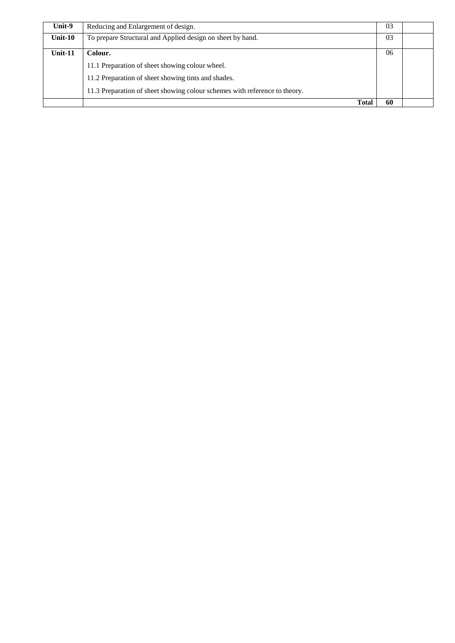| Unit-9  | Reducing and Enlargement of design.                                        | 03 |  |
|---------|----------------------------------------------------------------------------|----|--|
| Unit-10 | To prepare Structural and Applied design on sheet by hand.                 | 03 |  |
| Unit-11 | Colour.                                                                    | 06 |  |
|         | 11.1 Preparation of sheet showing colour wheel.                            |    |  |
|         | 11.2 Preparation of sheet showing tints and shades.                        |    |  |
|         | 11.3 Preparation of sheet showing colour schemes with reference to theory. |    |  |
|         | <b>Total</b>                                                               | 60 |  |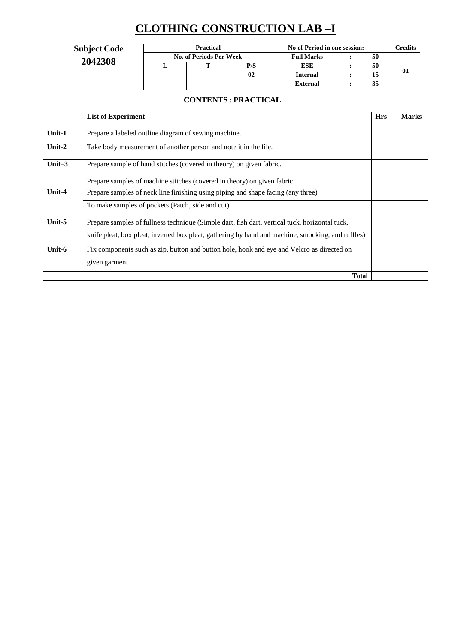# **CLOTHING CONSTRUCTION LAB –I**

| <b>Subject Code</b> | <b>Practical</b><br>No. of Periods Per Week |  |     | No of Period in one session: |  |    | Credits |
|---------------------|---------------------------------------------|--|-----|------------------------------|--|----|---------|
| 2042308             |                                             |  |     | <b>Full Marks</b>            |  | 50 |         |
|                     |                                             |  | P/S | ESE                          |  | 50 |         |
|                     |                                             |  | 02  | <b>Internal</b>              |  | 15 | 01      |
|                     |                                             |  |     | <b>External</b>              |  | 35 |         |

### **CONTENTS : PRACTICAL**

|           | <b>List of Experiment</b>                                                                                                                                                                           | <b>Hrs</b> | <b>Marks</b> |
|-----------|-----------------------------------------------------------------------------------------------------------------------------------------------------------------------------------------------------|------------|--------------|
| Unit-1    | Prepare a labeled outline diagram of sewing machine.                                                                                                                                                |            |              |
| Unit- $2$ | Take body measurement of another person and note it in the file.                                                                                                                                    |            |              |
| Unit $-3$ | Prepare sample of hand stitches (covered in theory) on given fabric.                                                                                                                                |            |              |
|           | Prepare samples of machine stitches (covered in theory) on given fabric.                                                                                                                            |            |              |
| Unit-4    | Prepare samples of neck line finishing using piping and shape facing (any three)                                                                                                                    |            |              |
|           | To make samples of pockets (Patch, side and cut)                                                                                                                                                    |            |              |
| Unit-5    | Prepare samples of fullness technique (Simple dart, fish dart, vertical tuck, horizontal tuck,<br>knife pleat, box pleat, inverted box pleat, gathering by hand and machine, smocking, and ruffles) |            |              |
| Unit-6    | Fix components such as zip, button and button hole, hook and eye and Velcro as directed on<br>given garment                                                                                         |            |              |
|           | <b>Total</b>                                                                                                                                                                                        |            |              |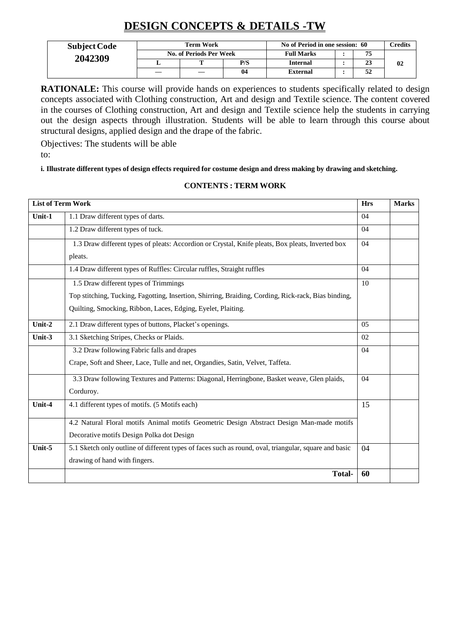## **DESIGN CONCEPTS & DETAILS -TW**

| <b>Subject Code</b> | Term Work<br>No. of Periods Per Week |  |     | No of Period in one session: 60 |  |    | <b>Credits</b> |
|---------------------|--------------------------------------|--|-----|---------------------------------|--|----|----------------|
| 2042309             |                                      |  |     | <b>Full Marks</b>               |  | 75 |                |
|                     |                                      |  | P/S | <b>Internal</b>                 |  | 23 | 02             |
|                     |                                      |  | 04  | External                        |  | 34 |                |

**RATIONALE:** This course will provide hands on experiences to students specifically related to design concepts associated with Clothing construction, Art and design and Textile science. The content covered in the courses of Clothing construction, Art and design and Textile science help the students in carrying out the design aspects through illustration. Students will be able to learn through this course about structural designs, applied design and the drape of the fabric.

Objectives: The students will be able to:

i. Illustrate different types of design effects required for costume design and dress making by drawing and sketching.

#### **CONTENTS : TERM WORK**

| <b>List of Term Work</b> |                                                                                                       | <b>Hrs</b> | <b>Marks</b> |
|--------------------------|-------------------------------------------------------------------------------------------------------|------------|--------------|
| Unit-1                   | 1.1 Draw different types of darts.                                                                    | 04         |              |
|                          | 1.2 Draw different types of tuck.                                                                     | 04         |              |
|                          | 1.3 Draw different types of pleats: Accordion or Crystal, Knife pleats, Box pleats, Inverted box      | 04         |              |
|                          | pleats.                                                                                               |            |              |
|                          | 1.4 Draw different types of Ruffles: Circular ruffles, Straight ruffles                               | 04         |              |
|                          | 1.5 Draw different types of Trimmings                                                                 | 10         |              |
|                          | Top stitching, Tucking, Fagotting, Insertion, Shirring, Braiding, Cording, Rick-rack, Bias binding,   |            |              |
|                          | Quilting, Smocking, Ribbon, Laces, Edging, Eyelet, Plaiting.                                          |            |              |
| Unit-2                   | 2.1 Draw different types of buttons, Placket's openings.                                              | 0.5        |              |
| Unit-3                   | 3.1 Sketching Stripes, Checks or Plaids.                                                              | 02         |              |
|                          | 3.2 Draw following Fabric falls and drapes                                                            | 04         |              |
|                          | Crape, Soft and Sheer, Lace, Tulle and net, Organdies, Satin, Velvet, Taffeta.                        |            |              |
|                          | 3.3 Draw following Textures and Patterns: Diagonal, Herringbone, Basket weave, Glen plaids,           | 04         |              |
|                          | Corduroy.                                                                                             |            |              |
| Unit-4                   | 4.1 different types of motifs. (5 Motifs each)                                                        | 15         |              |
|                          | 4.2 Natural Floral motifs Animal motifs Geometric Design Abstract Design Man-made motifs              |            |              |
|                          | Decorative motifs Design Polka dot Design                                                             |            |              |
| Unit-5                   | 5.1 Sketch only outline of different types of faces such as round, oval, triangular, square and basic | 04         |              |
|                          | drawing of hand with fingers.                                                                         |            |              |
|                          | <b>Total-</b>                                                                                         | 60         |              |